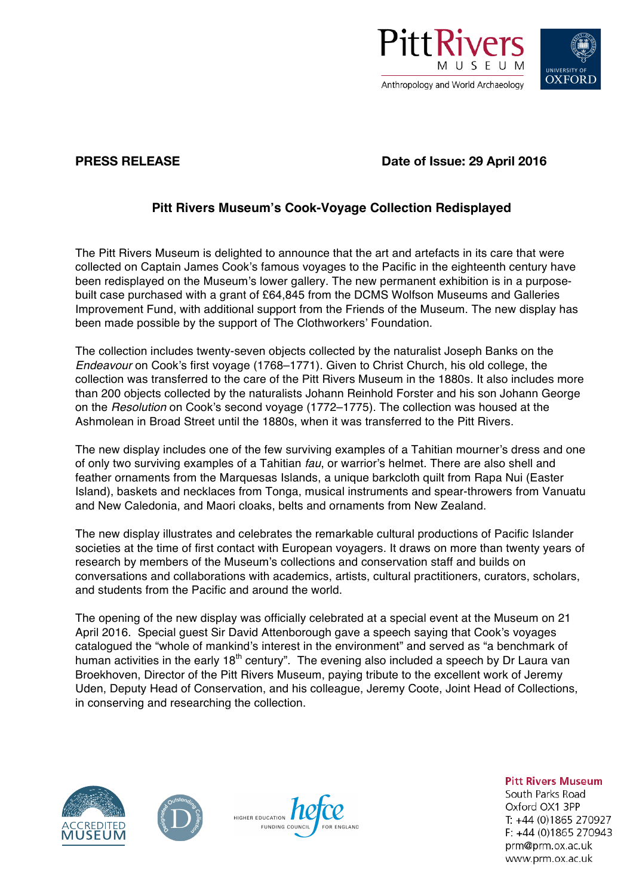



**PRESS RELEASE Date of Issue: 29 April 2016**

## **Pitt Rivers Museum's Cook-Voyage Collection Redisplayed**

The Pitt Rivers Museum is delighted to announce that the art and artefacts in its care that were collected on Captain James Cook's famous voyages to the Pacific in the eighteenth century have been redisplayed on the Museum's lower gallery. The new permanent exhibition is in a purposebuilt case purchased with a grant of £64,845 from the DCMS Wolfson Museums and Galleries Improvement Fund, with additional support from the Friends of the Museum. The new display has been made possible by the support of The Clothworkers' Foundation.

The collection includes twenty-seven objects collected by the naturalist Joseph Banks on the *Endeavour* on Cook's first voyage (1768–1771). Given to Christ Church, his old college, the collection was transferred to the care of the Pitt Rivers Museum in the 1880s. It also includes more than 200 objects collected by the naturalists Johann Reinhold Forster and his son Johann George on the *Resolution* on Cook's second voyage (1772–1775). The collection was housed at the Ashmolean in Broad Street until the 1880s, when it was transferred to the Pitt Rivers.

The new display includes one of the few surviving examples of a Tahitian mourner's dress and one of only two surviving examples of a Tahitian *fau*, or warrior's helmet. There are also shell and feather ornaments from the Marquesas Islands, a unique barkcloth quilt from Rapa Nui (Easter Island), baskets and necklaces from Tonga, musical instruments and spear-throwers from Vanuatu and New Caledonia, and Maori cloaks, belts and ornaments from New Zealand.

The new display illustrates and celebrates the remarkable cultural productions of Pacific Islander societies at the time of first contact with European voyagers. It draws on more than twenty years of research by members of the Museum's collections and conservation staff and builds on conversations and collaborations with academics, artists, cultural practitioners, curators, scholars, and students from the Pacific and around the world.

The opening of the new display was officially celebrated at a special event at the Museum on 21 April 2016. Special guest Sir David Attenborough gave a speech saying that Cook's voyages catalogued the "whole of mankind's interest in the environment" and served as "a benchmark of human activities in the early  $18<sup>th</sup>$  century". The evening also included a speech by Dr Laura van Broekhoven, Director of the Pitt Rivers Museum, paying tribute to the excellent work of Jeremy Uden, Deputy Head of Conservation, and his colleague, Jeremy Coote, Joint Head of Collections, in conserving and researching the collection.







**Pitt Rivers Museum** 

South Parks Road Oxford OX1 3PP T: +44 (0)1865 270927  $F: +44(0)1865270943$ prm@prm.ox.ac.uk www.prm.ox.ac.uk